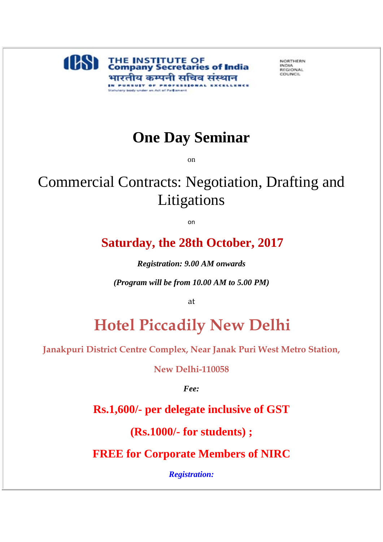

NORTHERN INDIA COUNCIL

## **One Day Seminar**

on

## Commercial Contracts: Negotiation, Drafting and Litigations

on

## **Saturday, the 28th October, 2017**

*Registration: 9.00 AM onwards* 

*(Program will be from 10.00 AM to 5.00 PM)*

at

## **Hotel Piccadily New Delhi**

**Janakpuri District Centre Complex, Near Janak Puri West Metro Station,** 

**New Delhi-110058**

*Fee:*

**Rs.1,600/- per delegate inclusive of GST**

**(Rs.1000/- for students) ;**

**FREE for Corporate Members of NIRC**

*Registration:*